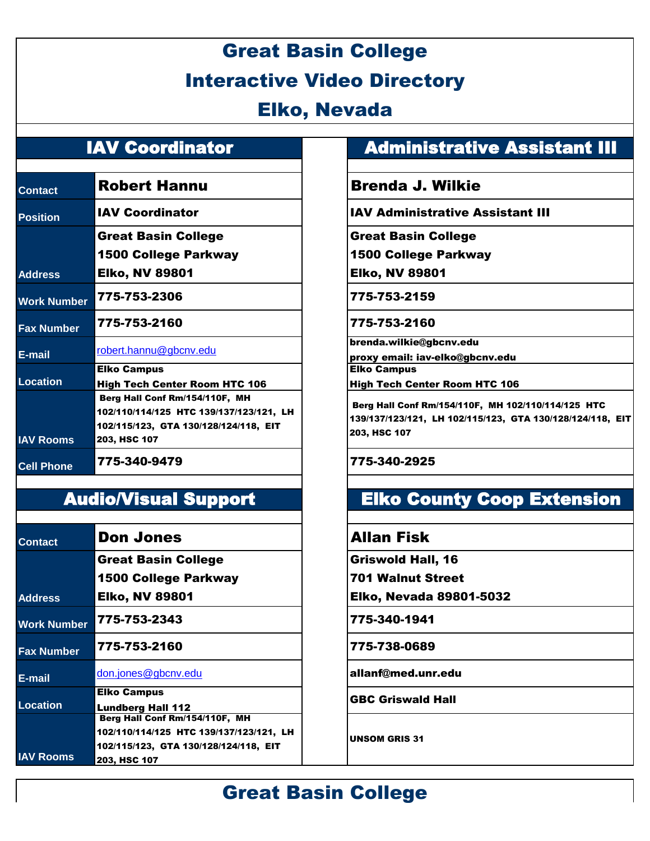# Great Basin College Interactive Video Directory

### Elko, Nevada

| <b>Contact</b>     | <b>Robert Hannu</b>                     |
|--------------------|-----------------------------------------|
| <b>Position</b>    | <b>IAV Coordinator</b>                  |
|                    | <b>Great Basin College</b>              |
|                    | 1500 College Parkway                    |
| <b>Address</b>     | <b>Elko, NV 89801</b>                   |
| <b>Work Number</b> | 775-753-2306                            |
| <b>Fax Number</b>  | 775-753-2160                            |
| E-mail             | robert.hannu@gbcnv.edu                  |
|                    | <b>Elko Campus</b>                      |
| <b>Location</b>    | <b>High Tech Center Room HTC 106</b>    |
|                    | Berg Hall Conf Rm/154/110F, MH          |
|                    | 102/110/114/125 HTC 139/137/123/121, LH |
|                    | 102/115/123, GTA 130/128/124/118, EIT   |
| <b>IAV Rooms</b>   | 203, HSC 107                            |
| <b>Cell Phone</b>  | 775-340-9479                            |

| <b>Contact</b>     | <b>Don Jones</b>                        |
|--------------------|-----------------------------------------|
|                    | <b>Great Basin College</b>              |
|                    | <b>1500 College Parkway</b>             |
| <b>Address</b>     | <b>Elko, NV 89801</b>                   |
| <b>Work Number</b> | 775-753-2343                            |
| <b>Fax Number</b>  | 775-753-2160                            |
| E-mail             | don.jones@gbcnv.edu                     |
|                    | <b>Elko Campus</b>                      |
| <b>Location</b>    | <b>Lundberg Hall 112</b>                |
|                    | Berg Hall Conf Rm/154/110F, MH          |
|                    | 102/110/114/125 HTC 139/137/123/121, LH |
|                    | 102/115/123, GTA 130/128/124/118, EIT   |
| <b>IAV Rooms</b>   | 203, HSC 107                            |

#### IAV Coordinator **Administrative Assistant III**

#### **Brenda J. Wilkie**

**JAV Administrative Assistant III** 

Great Basin College

1500 College Parkway

Elko, NV 89801

**Work Number** 775-753-2306 775-753-2159

**Fax Number** 775-753-2160 775-753-2160

brenda.wilkie@gbcnv.edu

proxy email: iav-elko@gbcnv.edu Elko Campus

High Tech Center Room HTC 106

 Berg Hall Conf Rm/154/110F, MH 102/110/114/125 HTC 139/137/123/121, LH 102/115/123, GTA 130/128/124/118, EIT 203, HSC 107

#### **Cell Phone** 775-340-9479 775-340-2925

## Audio/Visual Support Elko County Coop Extension

#### **Allan Fisk**

Griswold Hall, 16

701 Walnut Street

Elko, Nevada 89801-5032

**Work Number** 775-753-2343 775-340-1941

**Fax Number** 775-753-2160 775-738-0689

**E-mail** [don.jones@gbcnv.edu](mailto:don.jones@gbcnv.edu) allanf@med.unr.edu

GBC Griswald Hall

UNSOM GRIS 31

## Great Basin College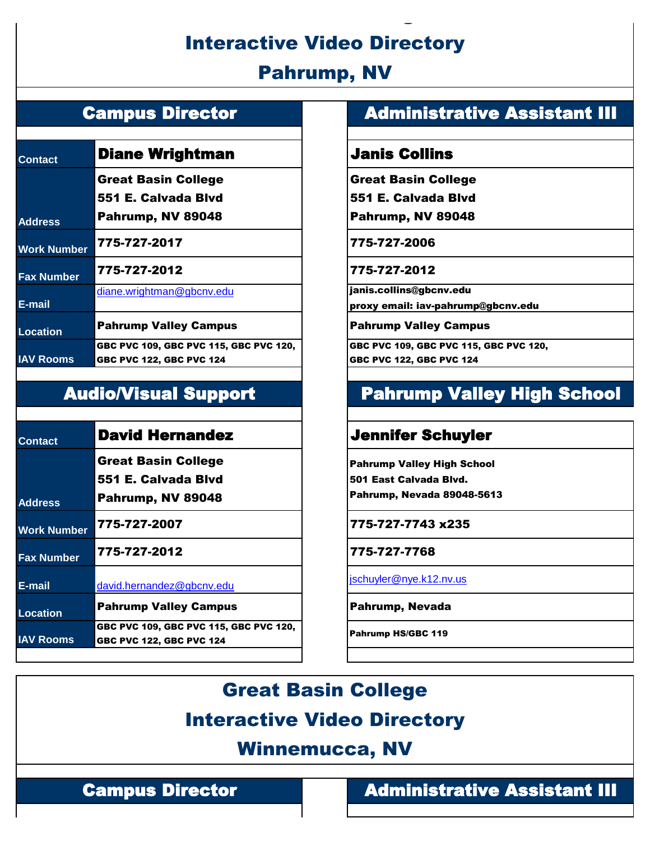## Interactive Video Directory

Great Basin College

## Pahrump, NV

| <b>Contact</b>     | <b>Diane Wrightman</b>                                                    |  |  |
|--------------------|---------------------------------------------------------------------------|--|--|
|                    | <b>Great Basin College</b>                                                |  |  |
|                    | 551 E. Calvada Blvd                                                       |  |  |
| <b>Address</b>     | Pahrump, NV 89048                                                         |  |  |
| <b>Work Number</b> | 775-727-2017                                                              |  |  |
| <b>Fax Number</b>  | 775-727-2012                                                              |  |  |
| E-mail             | diane.wrightman@gbcnv.edu                                                 |  |  |
| <b>Location</b>    | <b>Pahrump Valley Campus</b>                                              |  |  |
| <b>IAV Rooms</b>   | GBC PVC 109, GBC PVC 115, GBC PVC 120,<br><b>GBC PVC 122, GBC PVC 124</b> |  |  |

| <b>Contact</b>     | <b>David Hernandez</b>                                                    |
|--------------------|---------------------------------------------------------------------------|
|                    | <b>Great Basin College</b>                                                |
|                    | 551 E. Calvada Blvd                                                       |
| <b>Address</b>     | Pahrump, NV 89048                                                         |
| <b>Work Number</b> | 775-727-2007                                                              |
| <b>Fax Number</b>  | 775-727-2012                                                              |
| E-mail             | david.hernandez@gbcnv.edu                                                 |
| Location           | <b>Pahrump Valley Campus</b>                                              |
| <b>IAV Rooms</b>   | GBC PVC 109, GBC PVC 115, GBC PVC 120,<br><b>GBC PVC 122, GBC PVC 124</b> |

#### Campus Director **Administrative Assistant III**

#### **Janis Collins**

Great Basin College

551 E. Calvada Blvd

Pahrump, NV 89048

**Work Number** 775-727-2017 775-727-2006

#### **Fax Number** 775-727-2012 775-727-2012

janis.collins@gbcnv.edu

proxy email: iav-pahrump@gbcnv.edu

**Pahrump Valley Campus** 

GBC PVC 109, GBC PVC 115, GBC PVC 120, GBC PVC 122, GBC PVC 124

## Audio/Visual Support Pahrump Valley High School

#### **Jennifer Schuyler**

Pahrump Valley High School 501 East Calvada Blvd. Pahrump, Nevada 89048-5613

**Work Number** 775-727-2007 775-727-7743 x235

**Fax Number** 775-727-2012 775-727-7768

[jschuyler@nye.k12.nv.us](mailto:jschuyler@nye.k12.nv.us)

**Pahrump, Nevada** 

Pahrump HS/GBC 119

Great Basin College

## Interactive Video Directory

### Winnemucca, NV

#### Campus Director **Administrative Assistant III**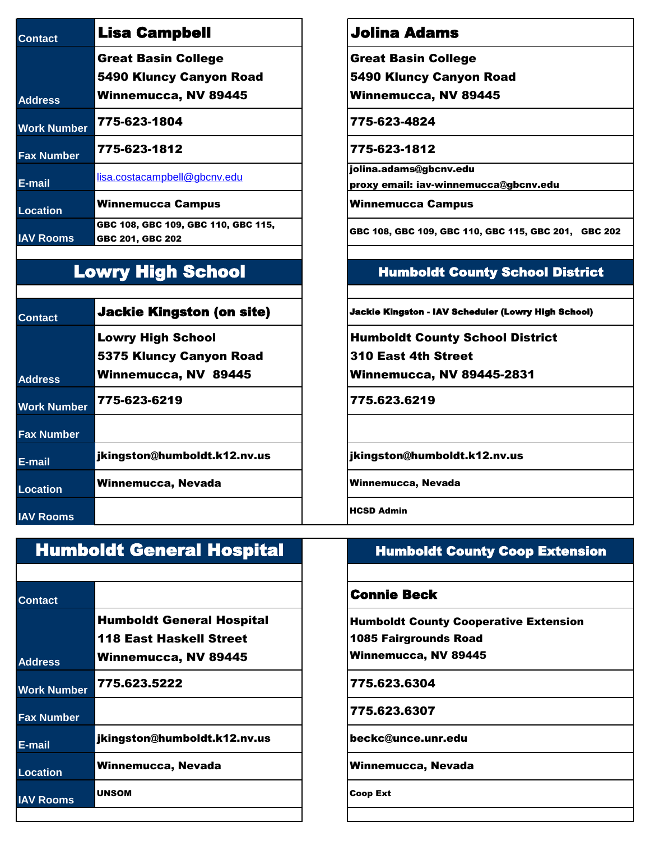| <b>Contact</b>     | <b>Lisa Campbell</b>                                    | Jolina Ada                           |
|--------------------|---------------------------------------------------------|--------------------------------------|
|                    | <b>Great Basin College</b>                              | <b>Great Basin C</b>                 |
|                    | <b>5490 Kluncy Canyon Road</b>                          | <b>5490 Kluncy</b>                   |
| <b>Address</b>     | <b>Winnemucca, NV 89445</b>                             | Winnemucca,                          |
| <b>Work Number</b> | 775-623-1804                                            | 775-623-4824                         |
| <b>Fax Number</b>  | 775-623-1812                                            | 775-623-1812                         |
| E-mail             | lisa.costacampbell@gbcnv.edu                            | jolina.adams@gb<br>proxy email: iav- |
| <b>Location</b>    | <b>Winnemucca Campus</b>                                | <b>Winnemucca C</b>                  |
| <b>IAV Rooms</b>   | GBC 108, GBC 109, GBC 110, GBC 115,<br>GBC 201, GBC 202 | GBC 108, GBC 109                     |
|                    |                                                         |                                      |

### Lowry High School

| <b>Contact</b>     | <b>Jackie Kingston (on site)</b>                    | <b>Jackie Kings</b>               |
|--------------------|-----------------------------------------------------|-----------------------------------|
|                    | <b>Lowry High School</b><br>5375 Kluncy Canyon Road | <b>Humbold</b><br><b>310 East</b> |
| <b>Address</b>     | Winnemucca, NV 89445                                | Winnemu                           |
| <b>Work Number</b> | 775-623-6219                                        | 775.623.                          |
| <b>Fax Number</b>  |                                                     |                                   |
| E-mail             | jkingston@humboldt.k12.nv.us                        | <b>jkingston</b>                  |
| <b>Location</b>    | Winnemucca, Nevada                                  | Winnemucc                         |
| <b>IAV Rooms</b>   |                                                     | <b>HCSD Admin</b>                 |

# **Contact** Contact **Connie Beck Address** Humboldt General Hospital 118 East Haskell Street Winnemucca, NV 89445 **Work Number** 775.623.5222 775.623.6304 **Fax Number** 775.623.6307 **E-mail** jkingston@humboldt.k12.nv.us beckc@unce.unr.edu Location **Winnemucca, Nevada Network** Nevada **Winnemucca, Nevada IAV Rooms** UNSOM Coop Ext Humboldt General Hospital

#### **Jolina Adams**

Great Basin College

5490 Kluncy Canyon Road

Winnemucca, NV 89445

jolina.adams@gbcnv.edu proxy email: iav-winnemucca@gbcnv.edu

**Winnemucca Campus** 

GBC 108, GBC 109, GBC 110, GBC 115, GBC 201, GBC 202

#### Humboldt County School District

**Jackie Kingston - IAV Scheduler (Lowry High School)** 

Humboldt County School District

310 East 4th Street

Winnemucca, NV 89445-2831

**Work Number** 775-623-6219 775.623.6219

jkingston@humboldt.k12.nv.us

**Winnemucca, Nevada** 

#### Humboldt County Coop Extension

Humboldt County Cooperative Extension 1085 Fairgrounds Road Winnemucca, NV 89445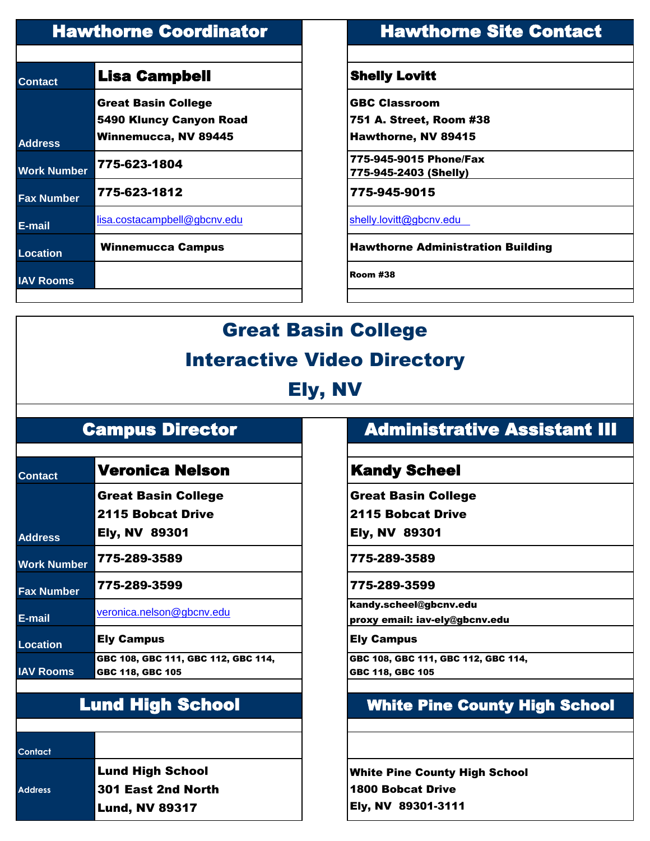| <b>Contact</b>     | <b>Lisa Campbell</b>                                                                 | <b>Shelly Lovitt</b>                                                  |
|--------------------|--------------------------------------------------------------------------------------|-----------------------------------------------------------------------|
| <b>Address</b>     | <b>Great Basin College</b><br>5490 Kluncy Canyon Road<br><b>Winnemucca, NV 89445</b> | <b>GBC Classroom</b><br>751 A. Street, Room #3<br>Hawthorne, NV 89415 |
| <b>Work Number</b> | 775-623-1804                                                                         | 775-945-9015 Phone/Fax<br>775-945-2403 (Shelly)                       |
| <b>Fax Number</b>  | 775-623-1812                                                                         | 775-945-9015                                                          |
| $E$ -mail          | lisa.costacampbell@gbcnv.edu                                                         | shelly.lovitt@gbcnv.edu                                               |
| <b>Location</b>    | Winnemucca Campus                                                                    | <b>Hawthorne Administrat</b>                                          |
| <b>IAV Rooms</b>   |                                                                                      | Room #38                                                              |
|                    |                                                                                      |                                                                       |

## Hawthorne Coordinator **Hawthorne Site Contact**

#### **Shelly Lovitt**

751 A. Street, Room #38

**Hawthorne Administration Building** 

# Great Basin College

#### Interactive Video Directory

Ely, NV

| <b>Contact</b>     | <b>Veronica Nelson</b>                                 | <b>Kandy Sch</b>                           |
|--------------------|--------------------------------------------------------|--------------------------------------------|
|                    | <b>Great Basin College</b><br><b>2115 Bobcat Drive</b> | <b>Great Basin C</b><br><b>2115 Bobcat</b> |
| <b>Address</b>     | <b>Ely, NV 89301</b>                                   | <b>Ely, NV 8930</b>                        |
| <b>Work Number</b> | 775-289-3589                                           | 775-289-3589                               |
| <b>Fax Number</b>  | 775-289-3599                                           | 775-289-3599                               |
| E-mail             | veronica.nelson@gbcnv.edu                              | kandy.scheel@gb<br>proxy email: iav-       |
| <b>Location</b>    | <b>Ely Campus</b>                                      | <b>Ely Campus</b>                          |
|                    | GBC 108, GBC 111, GBC 112, GBC 114,                    | GBC 108, GBC 111                           |
| <b>IAV Rooms</b>   | GBC 118, GBC 105                                       | GBC 118, GBC 105                           |
|                    |                                                        |                                            |

**Contact**

**Address**

Lund High School 301 East 2nd North Lund, NV 89317

### Campus Director **Administrative Assistant III**

#### **Kandy Scheel**

Great Basin College

2115 Bobcat Drive

Ely, NV 89301

kandy.scheel@gbcnv.edu

proxy email: iav-ely@gbcnv.edu

GBC 108, GBC 111, GBC 112, GBC 114, GBC 118, GBC 105

## Lund High School White Pine County High School

White Pine County High School 1800 Bobcat Drive Ely, NV 89301-3111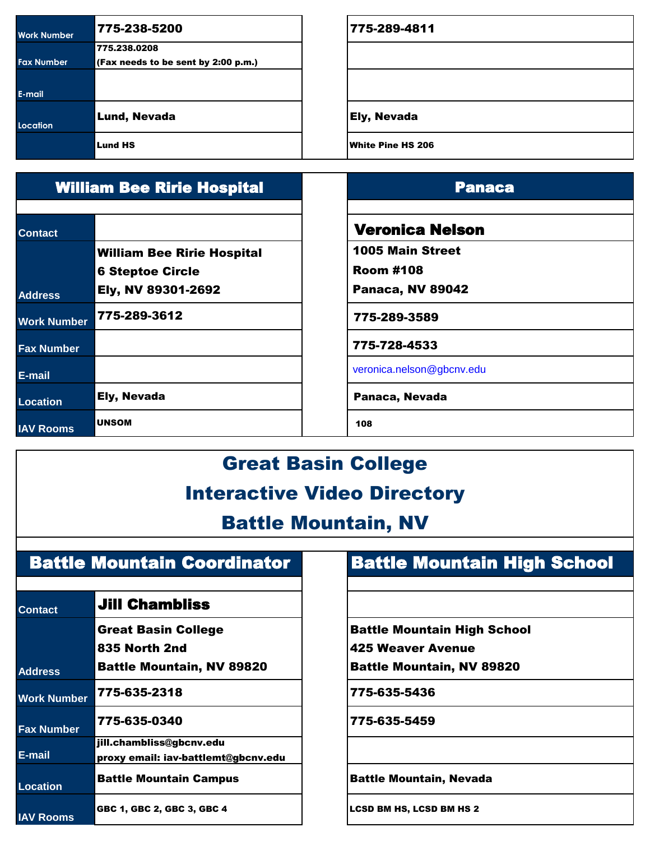| <b>Work Number</b> | 775-238-5200                        | 775-289-4811             |
|--------------------|-------------------------------------|--------------------------|
|                    | 775.238.0208                        |                          |
| <b>Fax Number</b>  | (Fax needs to be sent by 2:00 p.m.) |                          |
|                    |                                     |                          |
| E-mail             |                                     |                          |
| Location           | Lund, Nevada                        | <b>Ely, Nevada</b>       |
|                    | <b>Lund HS</b>                      | <b>White Pine HS 206</b> |

| <b>William Bee Ririe Hospital</b> |                                   |
|-----------------------------------|-----------------------------------|
| <b>Contact</b>                    |                                   |
|                                   | <b>William Bee Ririe Hospital</b> |
|                                   | <b>6 Steptoe Circle</b>           |
| <b>Address</b>                    | Ely, NV 89301-2692                |
| <b>Work Number</b>                | 775-289-3612                      |
| <b>Fax Number</b>                 |                                   |
| E-mail                            |                                   |
| <b>Location</b>                   | Ely, Nevada                       |
| <b>IAV Rooms</b>                  | <b>UNSOM</b>                      |

#### **Panaca**

#### Veronica Nelson

1005 Main Street

Room #108

Panaca, NV 89042

775-289-3589

775-728-4533

veronica.nelson@gbcnv.edu

Panaca, Nevada

108

# Great Basin College Interactive Video Directory

Battle Mountain, NV

### Battle Mountain Coordinator

| <b>Contact</b>     | <b>Jill Chambliss</b>               |  |
|--------------------|-------------------------------------|--|
|                    | <b>Great Basin College</b>          |  |
|                    | 835 North 2nd                       |  |
| <b>Address</b>     | <b>Battle Mountain, NV 89820</b>    |  |
| <b>Work Number</b> | 775-635-2318                        |  |
| <b>Fax Number</b>  | 775-635-0340                        |  |
|                    | jill.chambliss@gbcnv.edu            |  |
| E-mail             | proxy email: iav-battlemt@gbcnv.edu |  |
| <b>Location</b>    | <b>Battle Mountain Campus</b>       |  |
| <b>IAV Rooms</b>   | GBC 1, GBC 2, GBC 3, GBC 4          |  |

## Battle Mountain High School

Battle Mountain High School

425 Weaver Avenue

Battle Mountain, NV 89820

**Work Number** 775-635-2318 775-635-5436

**Fax Number** 775-635-0340 775-635-5459

**Battle Mountain, Nevada** 

LCSD BM HS, LCSD BM HS 2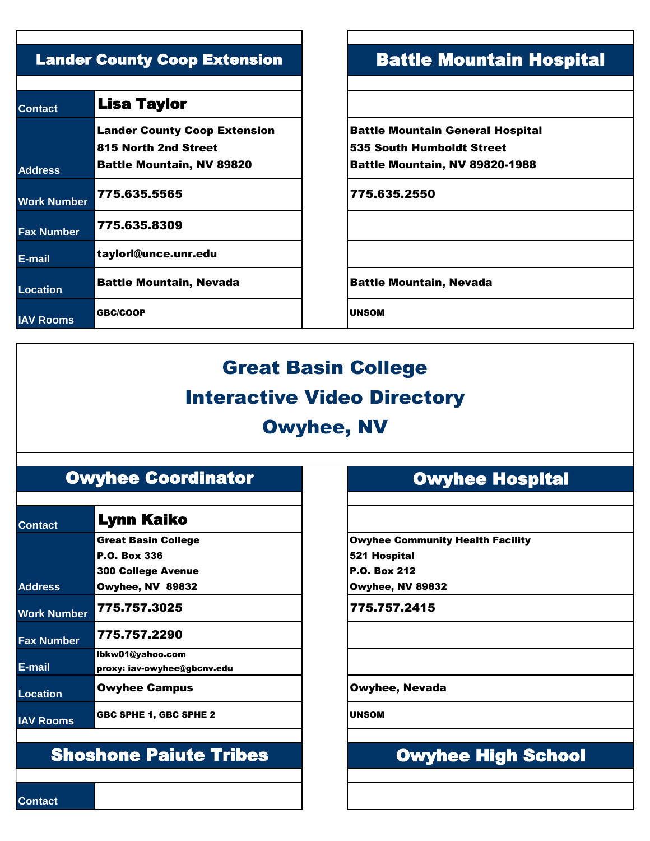| <b>Contact</b>     | <b>Lisa Taylor</b>                  |               |
|--------------------|-------------------------------------|---------------|
|                    | <b>Lander County Coop Extension</b> | <b>Battle</b> |
|                    | 815 North 2nd Street                | 535 S         |
| <b>Address</b>     | <b>Battle Mountain, NV 89820</b>    | <b>Battle</b> |
| <b>Work Number</b> | 775.635.5565                        | 775.6         |
| <b>Fax Number</b>  | 775.635.8309                        |               |
| E-mail             | taylorl@unce.unr.edu                |               |
| <b>Location</b>    | <b>Battle Mountain, Nevada</b>      | <b>Battle</b> |
| <b>IAV Rooms</b>   | <b>GBC/COOP</b>                     | <b>UNSOM</b>  |

### Lander County Coop Extension **Battle Mountain Hospital**

Battle Mountain General Hospital 535 South Humboldt Street Battle Mountain, NV 89820-1988

**Work Number** 775.635.5565 775.635.2550

**Battle Mountain, Nevada** 

# Great Basin College Interactive Video Directory Owyhee, NV

#### Owyhee Coordinator

| <b>Contact</b>     | Lynn Kaiko                    |                |
|--------------------|-------------------------------|----------------|
|                    | <b>Great Basin College</b>    | Owyhe          |
|                    | <b>P.O. Box 336</b>           | 521 Ho         |
|                    | <b>300 College Avenue</b>     | <b>P.O. Bo</b> |
| <b>Address</b>     | Owyhee, NV 89832              | Owyhe          |
| <b>Work Number</b> | 775.757.3025                  | 775.7          |
| <b>Fax Number</b>  | 775.757.2290                  |                |
|                    | Ibkw01@yahoo.com              |                |
| E-mail             | proxy: iav-owyhee@gbcnv.edu   |                |
| Location           | <b>Owyhee Campus</b>          | <b>Owyh</b>    |
| <b>IAV Rooms</b>   | <b>GBC SPHE 1, GBC SPHE 2</b> | <b>UNSOM</b>   |

## Shoshone Paiute Tribes

## Owyhee Hospital

Owyhee Community Health Facility 521 Hospital P.O. Box 212 Owyhee, NV 89832

**Work Number** 775.757.3025 775.757.2415

**Owyhee, Nevada** 

## Owyhee High School

**Contact**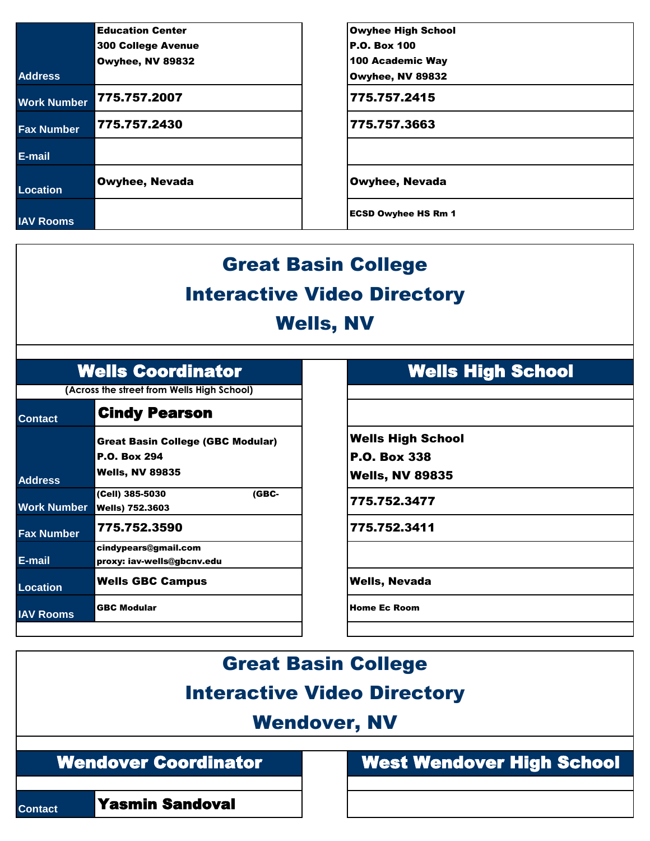|                    | <b>Education Center</b>   | <b>Owyhee High School</b>  |
|--------------------|---------------------------|----------------------------|
|                    | <b>300 College Avenue</b> | <b>P.O. Box 100</b>        |
|                    | Owyhee, NV 89832          | 100 Academic Way           |
| <b>Address</b>     |                           | Owyhee, NV 89832           |
| <b>Work Number</b> | 775.757.2007              | 775.757.2415               |
| <b>Fax Number</b>  | 775.757.2430              | 775.757.3663               |
| E-mail             |                           |                            |
| Location           | <b>Owyhee, Nevada</b>     | <b>Owyhee, Nevada</b>      |
| <b>IAV Rooms</b>   |                           | <b>ECSD Owyhee HS Rm 1</b> |

# Great Basin College Interactive Video Directory Wells, NV

**(Across the street from Wells High School)**

| <b>Contact</b>     | <b>Cindy Pearson</b>                     |                     |
|--------------------|------------------------------------------|---------------------|
|                    | <b>Great Basin College (GBC Modular)</b> | <b>Wells High</b>   |
|                    | <b>P.O. Box 294</b>                      | <b>P.O. Box 33</b>  |
| <b>Address</b>     | <b>Wells, NV 89835</b>                   | <b>Wells, NV 8</b>  |
|                    | (Cell) 385-5030<br>(GBC-                 | 775.752.34          |
| <b>Work Number</b> | <b>Wells) 752.3603</b>                   |                     |
| <b>Fax Number</b>  | 775.752.3590                             | 775.752.34          |
|                    | cindypears@gmail.com                     |                     |
| E-mail             | proxy: iav-wells@gbcnv.edu               |                     |
| <b>Location</b>    | <b>Wells GBC Campus</b>                  | <b>Wells, Neva</b>  |
| <b>IAV Rooms</b>   | <b>GBC Modular</b>                       | <b>Home Ec Room</b> |
|                    |                                          |                     |

#### Wells Coordinator **Wells High School**

Wells High School P.O. Box 338

Wells, NV 89835

Wells) 752.3603 775.752.3477

**Fax Number** 775.752.3590 775.752.3411

**Wells, Nevada** 

Great Basin College

### Interactive Video Directory

### Wendover, NV

Wendover Coordinator

**Contact** Yasmin Sandoval

West Wendover High School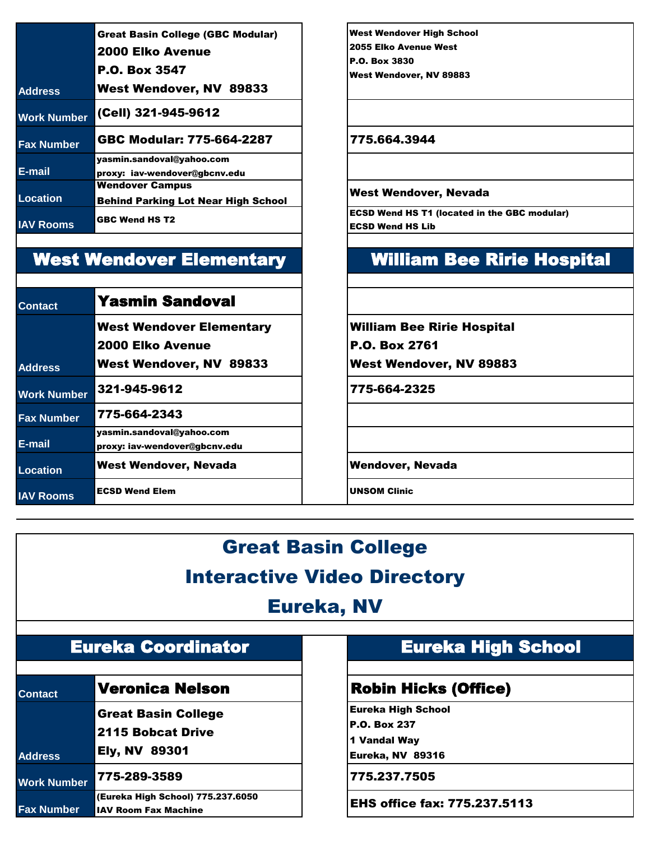|                    | <b>Great Basin College (GBC Modular)</b>                             |  |  |
|--------------------|----------------------------------------------------------------------|--|--|
|                    | 2000 Elko Avenue                                                     |  |  |
|                    | <b>P.O. Box 3547</b>                                                 |  |  |
| <b>Address</b>     | West Wendover, NV 89833                                              |  |  |
| <b>Work Number</b> | (Cell) 321-945-9612                                                  |  |  |
| <b>Fax Number</b>  | GBC Modular: 775-664-2287                                            |  |  |
| E-mail             | yasmin.sandoval@yahoo.com<br>proxy: iav-wendover@gbcnv.edu           |  |  |
| Location           | <b>Wendover Campus</b><br><b>Behind Parking Lot Near High School</b> |  |  |
| <b>IAV Rooms</b>   | <b>GBC Wend HS T2</b>                                                |  |  |

## West Wendover Elementary

| <b>Contact</b>     | <b>Yasmin Sandoval</b>          |                     |
|--------------------|---------------------------------|---------------------|
|                    | <b>West Wendover Elementary</b> | <b>William Be</b>   |
|                    | <b>2000 Elko Avenue</b>         | <b>P.O. Box 2</b>   |
| <b>Address</b>     | <b>West Wendover, NV 89833</b>  | <b>West Wen</b>     |
| <b>Work Number</b> | 321-945-9612                    | 775-664-2           |
| <b>Fax Number</b>  | 775-664-2343                    |                     |
|                    | yasmin.sandoval@yahoo.com       |                     |
| E-mail             | proxy: iav-wendover@gbcnv.edu   |                     |
| <b>Location</b>    | <b>West Wendover, Nevada</b>    | <b>Wendover,</b>    |
| <b>IAV Rooms</b>   | <b>ECSD Wend Elem</b>           | <b>UNSOM Clinic</b> |

West Wendover High School 2055 Elko Avenue West P.O. Box 3830 West Wendover, NV 89883

#### **Fax Number** GBC Modular: 775-664-2287 775.664.3944

#### West Wendover, Nevada

ECSD Wend HS T1 (located in the GBC modular) ECSD Wend HS Lib

#### William Bee Ririe Hospital

William Bee Ririe Hospital

P.O. Box 2761

West Wendover, NV 89883

**Work Number** 321-945-9612 775-664-2325

**Wendover, Nevada** 

## Great Basin College

#### Interactive Video Directory

#### Eureka, NV

| <b>Eureka Coordinator</b> |  |  |  |
|---------------------------|--|--|--|
|                           |  |  |  |
|                           |  |  |  |

| <b>Contact</b>     | <b>Veronica Nelson</b>            |
|--------------------|-----------------------------------|
|                    | <b>Great Basin College</b>        |
|                    | 2115 Bobcat Drive                 |
| <b>Address</b>     | <b>Ely, NV 89301</b>              |
| <b>Work Number</b> | 775-289-3589                      |
|                    | (Eureka High School) 775.237.6050 |
| <b>Fax Number</b>  | <b>IAV Room Fax Machine</b>       |

### Eureka High School

#### **Robin Hicks (Office)**

Eureka High School P.O. Box 237 1 Vandal Way

Eureka, NV 89316

**Work Number** 775-289-3589 775.237.7505

**EHS office fax: 775.237.5113**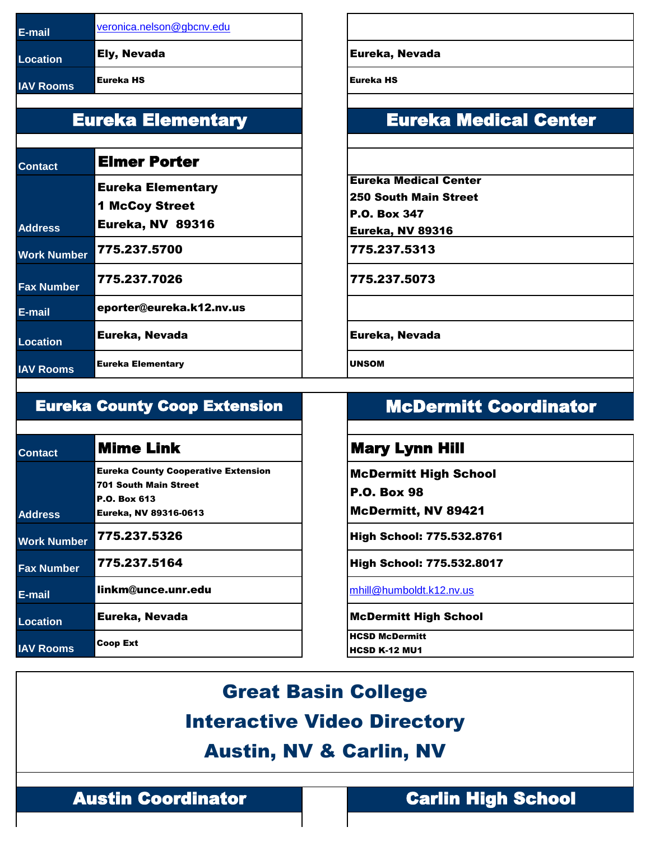| <b>IE-mail</b>   | veronica.nelson@gbcnv.edu |                   |
|------------------|---------------------------|-------------------|
| <b>Location</b>  | <b>Ely, Nevada</b>        | Eureka,           |
| <b>IAV Rooms</b> | lEureka HS                | <b>IEureka HS</b> |

### Eureka Elementary

| <b>Contact</b>     | <b>Elmer Porter</b>      |               |
|--------------------|--------------------------|---------------|
|                    | <b>Eureka Elementary</b> | <b>Eurek</b>  |
|                    | <b>1 McCoy Street</b>    | 250 S         |
|                    |                          | <b>P.O. B</b> |
| <b>Address</b>     | <b>Eureka, NV 89316</b>  | <b>Eurek</b>  |
| <b>Work Number</b> | 775.237.5700             | 775.2         |
| <b>Fax Number</b>  | 775.237.7026             | 775.2         |
| E-mail             | eporter@eureka.k12.nv.us |               |
| <b>Location</b>    | Eureka, Nevada           | <b>Eurek</b>  |
| <b>IAV Rooms</b>   | <b>Eureka Elementary</b> | <b>UNSOM</b>  |

#### **Eureka, Nevada**

### Eureka Medical Center

Eureka Medical Center

250 South Main Street

P.O. Box 347

Eureka, NV 89316

**Work Number** 775.237.5700 775.237.5313

**Fax Number** 775.237.7026 775.237.5073

**Eureka, Nevada** 

#### Eureka County Coop Extension

| <b>Contact</b>     | <b>Mime Link</b>                           |
|--------------------|--------------------------------------------|
|                    | <b>Eureka County Cooperative Extension</b> |
|                    | <b>701 South Main Street</b>               |
|                    | <b>P.O. Box 613</b>                        |
| <b>Address</b>     | Eureka, NV 89316-0613                      |
| <b>Work Number</b> | 775.237.5326                               |
| <b>Fax Number</b>  | 775.237.5164                               |
| E-mail             | linkm@unce.unr.edu                         |
| <b>Location</b>    | Eureka, Nevada                             |
| <b>IAV Rooms</b>   | Coop Ext                                   |

## McDermitt Coordinator

#### **Mary Lynn Hill**

McDermitt High School

P.O. Box 98

McDermitt, NV 89421

**High School: 775.532.8761** 

**High School: 775.532.8017** 

**[mhill@humboldt.k12.nv.us](mailto:mhill@humboldt.k12.nv.us)** 

**McDermitt High School** 

HCSD McDermitt HCSD K-12 MU1

Great Basin College Interactive Video Directory Austin, NV & Carlin, NV

Austin Coordinator **Carlin High School**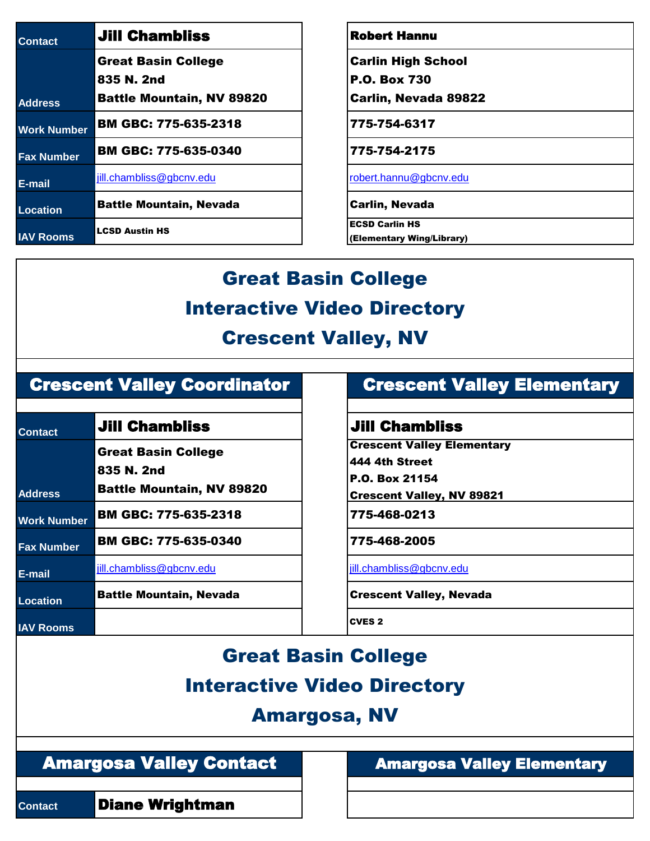| <b>Contact</b>     | <b>Jill Chambliss</b>            |
|--------------------|----------------------------------|
|                    | <b>Great Basin College</b>       |
|                    | 835 N. 2nd                       |
| <b>Address</b>     | <b>Battle Mountain, NV 89820</b> |
| <b>Work Number</b> | <b>BM GBC: 775-635-2318</b>      |
| <b>Fax Number</b>  | <b>BM GBC: 775-635-0340</b>      |
| E-mail             | jill.chambliss@gbcnv.edu         |
| Location           | <b>Battle Mountain, Nevada</b>   |
| <b>IAV Rooms</b>   | <b>LCSD Austin HS</b>            |

#### **Robert Hannu**

Carlin High School

P.O. Box 730

Carlin, Nevada 89822

**Work Number** BM GBC: 775-635-2318 775-754-6317

**Fax Number** BM GBC: 775-635-0340 775-754-2175

**E-mail** [jill.chambliss@gbcnv.edu](mailto:jill.chambliss@gbcnv.edu) [robert.hannu@gbcnv.edu](mailto:robert.hannu@gbcnv.edu)

**Carlin, Nevada** 

ECSD Carlin HS

(Elementary Wing/Library)

# Great Basin College Interactive Video Directory

#### Crescent Valley, NV

#### Crescent Valley Coordinator

| <b>Contact</b>     | <b>Jill Chambliss</b>                                                        | <b>Jill Chamb</b>                                                                  |
|--------------------|------------------------------------------------------------------------------|------------------------------------------------------------------------------------|
| <b>Address</b>     | <b>Great Basin College</b><br>835 N. 2nd<br><b>Battle Mountain, NV 89820</b> | <b>Crescent Valle</b><br>444 4th Street<br>P.O. Box 21154<br><b>Crescent Valle</b> |
| <b>Work Number</b> | <b>BM GBC: 775-635-2318</b>                                                  | 775-468-0213                                                                       |
| <b>Fax Number</b>  | <b>BM GBC: 775-635-0340</b>                                                  | 775-468-2005                                                                       |
| E-mail             | jill.chambliss@gbcnv.edu                                                     | jill.chambliss@gbc                                                                 |
| <b>Location</b>    | <b>Battle Mountain, Nevada</b>                                               | <b>Crescent Valle</b>                                                              |
| <b>IAV Rooms</b>   |                                                                              | <b>CVES 2</b>                                                                      |

#### Crescent Valley Elementary

#### **Contact** Jill Chambliss Jill Chambliss

Crescent Valley Elementary

Crescent Valley, NV 89821

**E-mail** [jill.chambliss@gbcnv.edu](mailto:jill.chambliss@gbcnv.edu) [jill.chambliss@gbcnv.edu](mailto:jill.chambliss@gbcnv.edu)

**Crescent Valley, Nevada** 

## Great Basin College Interactive Video Directory

### Amargosa, NV

Amargosa Valley Contact

**Contact Diane Wrightman** 

Amargosa Valley Elementary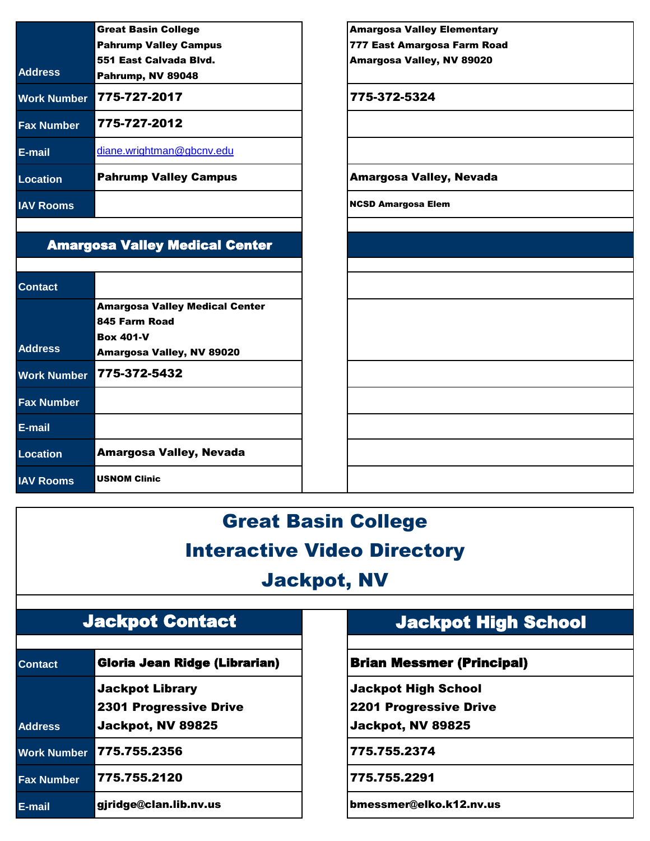|                    | <b>Great Basin College</b>   |  |
|--------------------|------------------------------|--|
|                    | <b>Pahrump Valley Campus</b> |  |
|                    | 551 East Calvada Blvd.       |  |
| <b>Address</b>     | Pahrump, NV 89048            |  |
| <b>Work Number</b> | 775-727-2017                 |  |
| <b>Fax Number</b>  | 775-727-2012                 |  |
| E-mail             | diane.wrightman@gbcnv.edu    |  |
| Location           | <b>Pahrump Valley Campus</b> |  |
| <b>IAV Rooms</b>   |                              |  |

#### Amargosa Valley Medical Center

| <b>Contact</b>     |                                       |
|--------------------|---------------------------------------|
|                    | <b>Amargosa Valley Medical Center</b> |
|                    | 845 Farm Road                         |
|                    | <b>Box 401-V</b>                      |
| <b>Address</b>     | Amargosa Valley, NV 89020             |
| <b>Work Number</b> | 775-372-5432                          |
| <b>Fax Number</b>  |                                       |
| E-mail             |                                       |
| Location           | <b>Amargosa Valley, Nevada</b>        |
| <b>IAV Rooms</b>   | <b>USNOM Clinic</b>                   |

Amargosa Valley Elementary 777 East Amargosa Farm Road Amargosa Valley, NV 89020 **Work Number** 775-727-2017 775-372-5324 **Amargosa Valley, Nevada** 

**NCSD Amargosa Elem** 

# Great Basin College Interactive Video Directory

## Jackpot, NV

#### Jackpot Contact

| <b>Contact</b>     | <b>Gloria Jean Ridge (Librarian)</b> |
|--------------------|--------------------------------------|
|                    | <b>Jackpot Library</b>               |
|                    | <b>2301 Progressive Drive</b>        |
| <b>Address</b>     | Jackpot, NV 89825                    |
| <b>Work Number</b> | 775.755.2356                         |
| <b>Fax Number</b>  | 775.755.2120                         |
| E-mail             | gjridge@clan.lib.nv.us               |

## Jackpot High School

#### **Brian Messmer (Principal)**

Jackpot High School

2201 Progressive Drive

Jackpot, NV 89825

**Work Number** 775.755.2356 775.755.2374

**Fax Number** 775.755.2120 775.755.2291

bmessmer@elko.k12.nv.us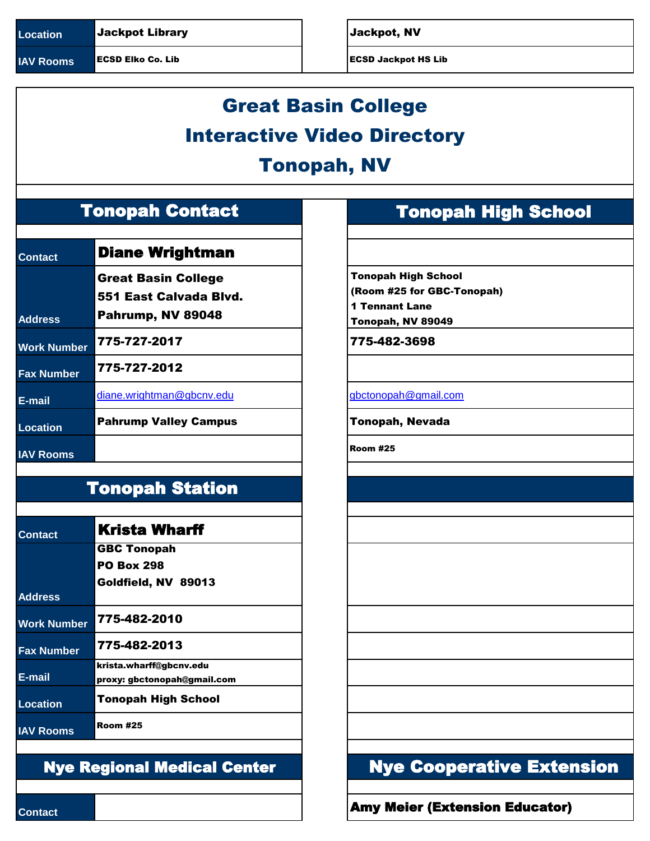**IAV Rooms** ECSD Elko Co. Lib **ECSD** Solution and ECSD Jackpot HS Lib

# Great Basin College Interactive Video Directory Tonopah, NV

## Tonopah Contact

| <b>Contact</b>     | <b>Diane Wrightman</b>                                                    |                                                         |
|--------------------|---------------------------------------------------------------------------|---------------------------------------------------------|
| <b>Address</b>     | <b>Great Basin College</b><br>551 East Calvada Blvd.<br>Pahrump, NV 89048 | <b>Tonopah</b><br>(Room #<br>1 Tennar<br><b>Tonopah</b> |
| <b>Work Number</b> | 775-727-2017                                                              | 775-48                                                  |
| <b>Fax Number</b>  | 775-727-2012                                                              |                                                         |
| E-mail             | diane.wrightman@gbcnv.edu                                                 | gbctonopa                                               |
| <b>Location</b>    | <b>Pahrump Valley Campus</b>                                              | Tonopal                                                 |
| <b>IAV Rooms</b>   |                                                                           | <b>Room #25</b>                                         |

## Tonopah Station

| <b>Contact</b>     | <b>Krista Wharff</b>        |
|--------------------|-----------------------------|
|                    | <b>GBC Tonopah</b>          |
|                    | <b>PO Box 298</b>           |
|                    | Goldfield, NV 89013         |
| <b>Address</b>     |                             |
| <b>Work Number</b> | 775-482-2010                |
| <b>Fax Number</b>  | 775-482-2013                |
|                    | krista.wharff@gbcnv.edu     |
| E-mail             | proxy: gbctonopah@gmail.com |
| <b>Location</b>    | <b>Tonopah High School</b>  |
| <b>IAV Rooms</b>   | <b>Room #25</b>             |

#### Nye Regional Medical Center

## Tonopah High School

Tonopah High School (Room #25 for GBC-Tonopah)

1 Tennant Lane Tonopah, NV 89049

**Work Number** 775-727-2017 775-482-3698

[gbctonopah@gmail.com](mailto:gbctonopah@gmail.com)

**Tonopah, Nevada** 

Nye Cooperative Extension

**Contact Amy Meier (Extension Educator)**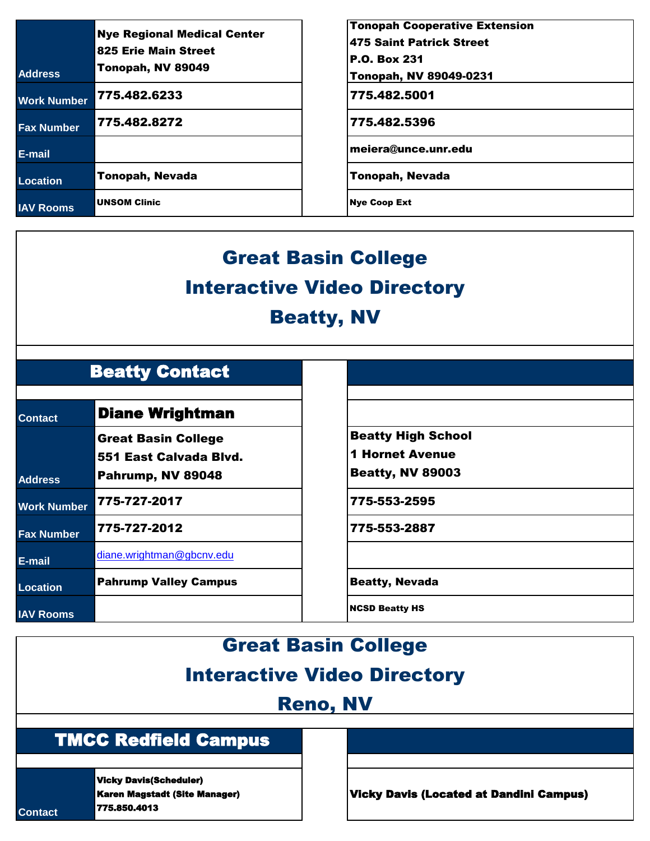| <b>Address</b>     | <b>Nye Regional Medical Center</b><br>825 Erie Main Street<br>Tonopah, NV 89049 | <b>Tonopah Cooperative Extension</b><br>475 Saint Patrick Street<br><b>P.O. Box 231</b><br><b>Tonopah, NV 89049-0231</b> |
|--------------------|---------------------------------------------------------------------------------|--------------------------------------------------------------------------------------------------------------------------|
| <b>Work Number</b> | 775.482.6233                                                                    | 775.482.5001                                                                                                             |
| <b>Fax Number</b>  | 775.482.8272                                                                    | 775.482.5396                                                                                                             |
| E-mail             |                                                                                 | meiera@unce.unr.edu                                                                                                      |
| Location           | <b>Tonopah, Nevada</b>                                                          | <b>Tonopah, Nevada</b>                                                                                                   |
| <b>IAV Rooms</b>   | <b>UNSOM Clinic</b>                                                             | <b>Nye Coop Ext</b>                                                                                                      |

# Great Basin College Interactive Video Directory Beatty, NV

## Beatty Contact

| <b>Contact</b>     | <b>Diane Wrightman</b>                                                    |                                                                      |  |
|--------------------|---------------------------------------------------------------------------|----------------------------------------------------------------------|--|
| <b>Address</b>     | <b>Great Basin College</b><br>551 East Calvada Blvd.<br>Pahrump, NV 89048 | <b>Beatty High S</b><br><b>1 Hornet Aver</b><br><b>Beatty, NV 89</b> |  |
| <b>Work Number</b> | 775-727-2017                                                              | 775-553-2595                                                         |  |
| <b>Fax Number</b>  | 775-727-2012                                                              | 775-553-2887                                                         |  |
| E-mail             | diane.wrightman@gbcnv.edu                                                 |                                                                      |  |
| <b>Location</b>    | <b>Pahrump Valley Campus</b>                                              | <b>Beatty, Nevada</b>                                                |  |
| <b>IAV Rooms</b>   |                                                                           | <b>NCSD Beatty HS</b>                                                |  |

Beatty High School

1 Hornet Avenue

Beatty, NV 89003

**Work Number** 775-727-2017 775-553-2595

**Beatty, Nevada** 

#### Great Basin College

## Interactive Video Directory

## Reno, NV

#### TMCC Redfield Campus

Vicky Davis(Scheduler) Karen Magstadt (Site Manager) 775.850.4013

**Contact**

Vicky Davis (Located at Dandini Campus)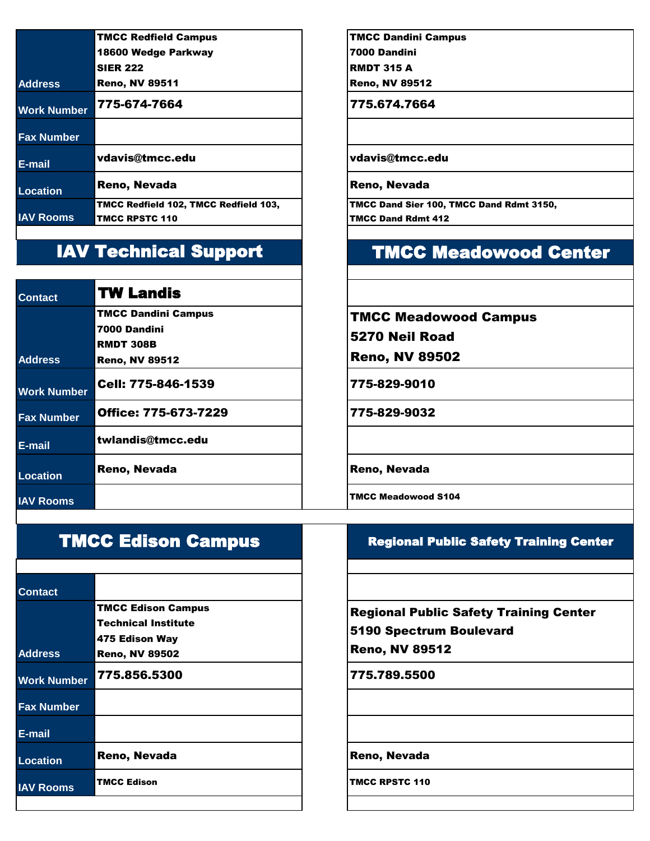| <b>TMCC Redfield Campus</b>           | <b>TMCC Dandini Ca</b>   |
|---------------------------------------|--------------------------|
| 18600 Wedge Parkway                   | 7000 Dandini             |
| <b>SIER 222</b>                       | <b>RMDT 315 A</b>        |
| <b>Reno, NV 89511</b>                 | <b>Reno, NV 89512</b>    |
| 775-674-7664                          | 775.674.7664             |
|                                       |                          |
| vdavis@tmcc.edu                       | vdavis@tmcc.e            |
| Reno, Nevada                          | Reno, Nevada             |
| TMCC Redfield 102, TMCC Redfield 103, | <b>TMCC Dand Sier 10</b> |
| <b>TMCC RPSTC 110</b>                 | <b>TMCC Dand Rdmt 4</b>  |
|                                       |                          |

## IAV Technical Support

| <b>Contact</b>     | <b>TW Landis</b>            |                       |
|--------------------|-----------------------------|-----------------------|
|                    | <b>TMCC Dandini Campus</b>  | <b>TMCC Meado</b>     |
|                    | 7000 Dandini                | <b>5270 Neil Ro</b>   |
|                    | <b>RMDT 308B</b>            |                       |
| <b>Address</b>     | <b>Reno, NV 89512</b>       | Reno, NV 89           |
| <b>Work Number</b> | Cell: 775-846-1539          | 775-829-9010          |
| <b>Fax Number</b>  | <b>Office: 775-673-7229</b> | 775-829-9032          |
| E-mail             | twlandis@tmcc.edu           |                       |
| Location           | Reno, Nevada                | Reno, Nevada          |
| <b>IAV Rooms</b>   |                             | <b>TMCC Meadowood</b> |

TMCC Dandini Campus

**E-mail** vdavis@tmcc.edu vdavis@tmcc.edu

TMCC Dand Sier 100, TMCC Dand Rdmt 3150, TMCC Dand Rdmt 412

## TMCC Meadowood Center

TMCC Meadowood Campus

5270 Neil Road

Reno, NV 89502

**IAV Rooms** TMCC Meadowood S104

#### Regional Public Safety Training Center

Regional Public Safety Training Center 5190 Spectrum Boulevard Reno, NV 89512

**Contact** TMCC Edison Campus Technical Institute

TMCC Edison Campus

**Address** 475 Edison Way Reno, NV 89502 **Work Number** 775.856.5300 **775.789.5500 Fax Number E-mail** Location Reno, Nevada **Reno, Nevada** Reno, Nevada **IAV Rooms** TMCC Edison **TMCC ROOMS** TMCC RPSTC 110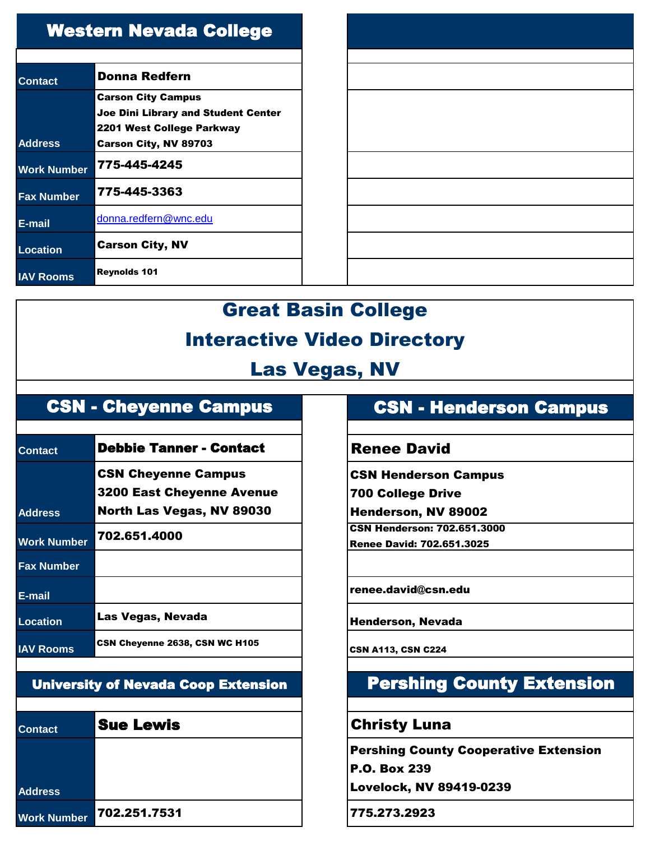| <b>Western Nevada College</b> |                                            |  |  |
|-------------------------------|--------------------------------------------|--|--|
| Contact                       | Donna Redfern                              |  |  |
|                               | <b>Carson City Campus</b>                  |  |  |
|                               | <b>Joe Dini Library and Student Center</b> |  |  |
|                               | 2201 West College Parkway                  |  |  |
| <b>Address</b>                | <b>Carson City, NV 89703</b>               |  |  |
| Work Number                   | 775-445-4245                               |  |  |
| <b>Fax Number</b>             | 775-445-3363                               |  |  |
| E-mail                        | donna.redfern@wnc.edu                      |  |  |
| Location                      | <b>Carson City, NV</b>                     |  |  |
| <b>IAV Rooms</b>              | <b>Reynolds 101</b>                        |  |  |

# Great Basin College Interactive Video Directory

## Las Vegas, NV

## CSN - Cheyenne Campus

| <b>Contact</b>     | <b>Debbie Tanner - Contact</b>                                                              | <b>Renee David</b>                                                             |
|--------------------|---------------------------------------------------------------------------------------------|--------------------------------------------------------------------------------|
| <b>Address</b>     | <b>CSN Cheyenne Campus</b><br><b>3200 East Cheyenne Avenue</b><br>North Las Vegas, NV 89030 | <b>CSN Henderson Campus</b><br><b>700 College Drive</b><br>Henderson, NV 89002 |
| <b>Work Number</b> | 702.651.4000                                                                                | <b>CSN Henderson: 702.651.3000</b><br><b>Renee David: 702.651.3025</b>         |
| <b>Fax Number</b>  |                                                                                             |                                                                                |
| E-mail             |                                                                                             | renee.david@csn.edu                                                            |
| <b>Location</b>    | Las Vegas, Nevada                                                                           | <b>Henderson, Nevada</b>                                                       |
| <b>IAV Rooms</b>   | CSN Cheyenne 2638, CSN WC H105                                                              | <b>CSN A113, CSN C224</b>                                                      |

#### University of Nevada Coop Extension

| <b>Contact</b>     | <b>Sue Lewis</b> |  |
|--------------------|------------------|--|
|                    |                  |  |
| <b>Address</b>     |                  |  |
| <b>Work Number</b> | 702.251.7531     |  |

## CSN - Henderson Campus

#### **Renee David**

## Pershing County Extension

#### **Christy Luna**

Pershing County Cooperative Extension

P.O. Box 239 Lovelock, NV 89419-0239

**Work Number** 702.251.7531 775.273.2923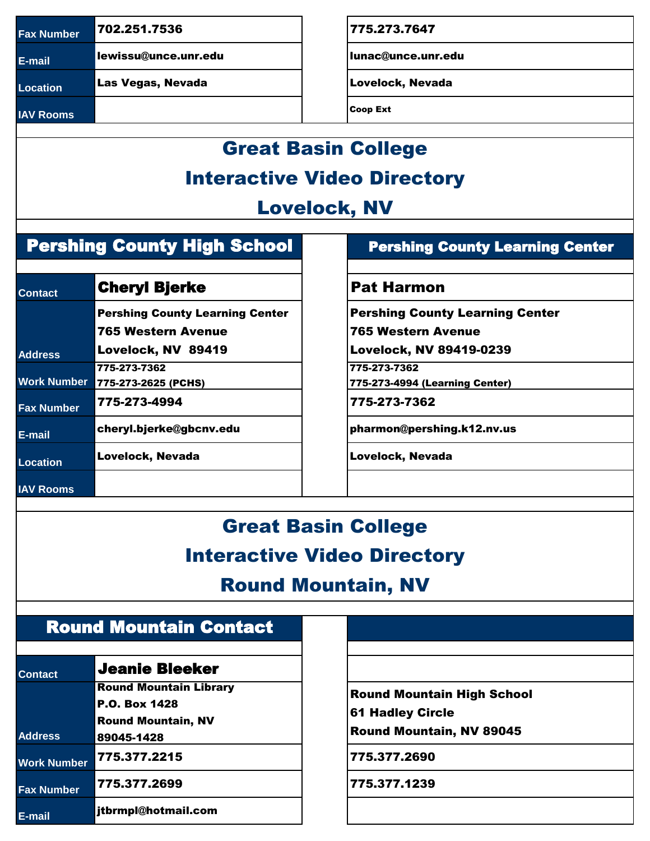**Fax Number** 702.251.7536 702.251.7536

**E-mail** lewissu@unce.unr.edu lunac@unce.unr.edu

**IAV Rooms** Coop Ext

Location Las Vegas, Nevada **Location Lovelock, Nevada** 

# Great Basin College Interactive Video Directory

## Lovelock, NV

## Pershing County High School

| <b>Contact</b>     | <b>Cheryl Bjerke</b>                   | <b>Pat Harmo</b>     |  |
|--------------------|----------------------------------------|----------------------|--|
|                    | <b>Pershing County Learning Center</b> | <b>Pershing Cout</b> |  |
|                    | <b>765 Western Avenue</b>              | 765 Western          |  |
| <b>Address</b>     | Lovelock, NV 89419                     | <b>Lovelock, NV</b>  |  |
|                    | 775-273-7362                           | 775-273-7362         |  |
| <b>Work Number</b> | 775-273-2625 (PCHS)                    | 775-273-4994 (Le     |  |
| <b>Fax Number</b>  | 775-273-4994                           | 775-273-7362         |  |
| E-mail             | cheryl.bjerke@gbcnv.edu                | pharmon@persl        |  |
| <b>Location</b>    | Lovelock, Nevada                       | Lovelock, Neva       |  |
| <b>IAV Rooms</b>   |                                        |                      |  |

#### Pershing County Learning Center

#### **Pat Harmon**

Pershing County Learning Center

765 Western Avenue

Lovelock, NV 89419-0239

775-273-4994 (Learning Center)

pharmon@pershing.k12.nv.us

**Lovelock, Nevada** 

# Great Basin College Interactive Video Directory

## Round Mountain, NV

## Round Mountain Contact

| <b>Contact</b>     | <b>Jeanie Bleeker</b>         |  |
|--------------------|-------------------------------|--|
|                    | <b>Round Mountain Library</b> |  |
|                    | <b>P.O. Box 1428</b>          |  |
|                    | <b>Round Mountain, NV</b>     |  |
| <b>Address</b>     | 89045-1428                    |  |
| <b>Work Number</b> | 775.377.2215                  |  |
| <b>Fax Number</b>  | 775.377.2699                  |  |
| E-mail             | itbrmpl@hotmail.com           |  |

Round Mountain High School 61 Hadley Circle Round Mountain, NV 89045

**Work Number** 775.377.2215 775.377.2690

**Fax Number** 775.377.2699 775.377.1239